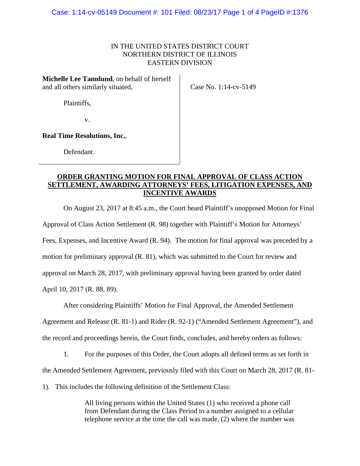## IN THE UNITED STATES DISTRICT COURT NORTHERN DISTRICT OF ILLINOIS EASTERN DIVISION

**Michelle Lee Tannlund**, on behalf of herself and all others similarly situated,

Case No. 1:14-cv-5149

Plaintiffs,

v.

**Real Time Resolutions, Inc.**,

Defendant.

# **ORDER GRANTING MOTION FOR FINAL APPROVAL OF CLASS ACTION SETTLEMENT, AWARDING ATTORNEYS' FEES, LITIGATION EXPENSES, AND INCENTIVE AWARDS**

On August 23, 2017 at 8:45 a.m., the Court heard Plaintiff's unopposed Motion for Final Approval of Class Action Settlement (R. 98) together with Plaintiff's Motion for Attorneys' Fees, Expenses, and Incentive Award (R. 94). The motion for final approval was preceded by a motion for preliminary approval (R. 81), which was submitted to the Court for review and approval on March 28, 2017, with preliminary approval having been granted by order dated April 10, 2017 (R. 88, 89).

After considering Plaintiffs' Motion for Final Approval, the Amended Settlement Agreement and Release (R. 81-1) and Rider (R. 92-1) ("Amended Settlement Agreement"), and the record and proceedings herein, the Court finds, concludes, and hereby orders as follows:

1. For the purposes of this Order, the Court adopts all defined terms as set forth in the Amended Settlement Agreement, previously filed with this Court on March 28, 2017 (R. 81-

1). This includes the following definition of the Settlement Class:

All living persons within the United States (1) who received a phone call from Defendant during the Class Period to a number assigned to a cellular telephone service at the time the call was made, (2) where the number was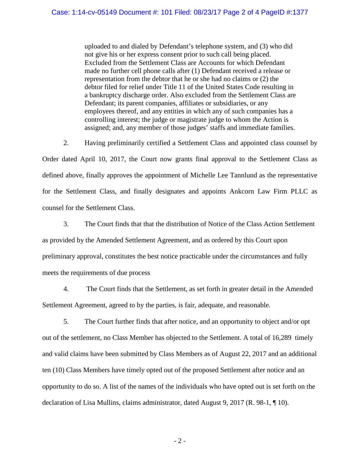uploaded to and dialed by Defendant's telephone system, and (3) who did not give his or her express consent prior to such call being placed. Excluded from the Settlement Class are Accounts for which Defendant made no further cell phone calls after (1) Defendant received a release or representation from the debtor that he or she had no claims or (2) the debtor filed for relief under Title 11 of the United States Code resulting in a bankruptcy discharge order. Also excluded from the Settlement Class are Defendant; its parent companies, affiliates or subsidiaries, or any employees thereof, and any entities in which any of such companies has a controlling interest; the judge or magistrate judge to whom the Action is assigned; and, any member of those judges' staffs and immediate families.

2. Having preliminarily certified a Settlement Class and appointed class counsel by Order dated April 10, 2017, the Court now grants final approval to the Settlement Class as defined above, finally approves the appointment of Michelle Lee Tannlund as the representative for the Settlement Class, and finally designates and appoints Ankcorn Law Firm PLLC as counsel for the Settlement Class.

3. The Court finds that that the distribution of Notice of the Class Action Settlement as provided by the Amended Settlement Agreement, and as ordered by this Court upon preliminary approval, constitutes the best notice practicable under the circumstances and fully meets the requirements of due process

4. The Court finds that the Settlement, as set forth in greater detail in the Amended Settlement Agreement, agreed to by the parties, is fair, adequate, and reasonable.

5. The Court further finds that after notice, and an opportunity to object and/or opt out of the settlement, no Class Member has objected to the Settlement. A total of 16,289 timely and valid claims have been submitted by Class Members as of August 22, 2017 and an additional ten (10) Class Members have timely opted out of the proposed Settlement after notice and an opportunity to do so. A list of the names of the individuals who have opted out is set forth on the declaration of Lisa Mullins, claims administrator, dated August 9, 2017 (R. 98-1, ¶ 10).

- 2 -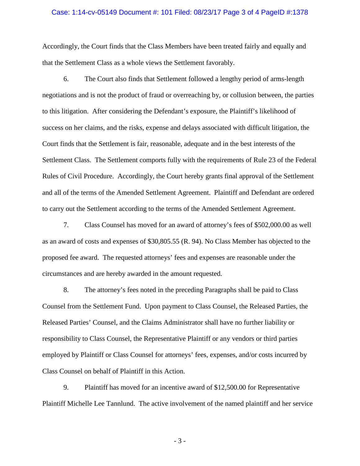#### Case: 1:14-cv-05149 Document #: 101 Filed: 08/23/17 Page 3 of 4 PageID #:1378

Accordingly, the Court finds that the Class Members have been treated fairly and equally and that the Settlement Class as a whole views the Settlement favorably.

6. The Court also finds that Settlement followed a lengthy period of arms-length negotiations and is not the product of fraud or overreaching by, or collusion between, the parties to this litigation. After considering the Defendant's exposure, the Plaintiff's likelihood of success on her claims, and the risks, expense and delays associated with difficult litigation, the Court finds that the Settlement is fair, reasonable, adequate and in the best interests of the Settlement Class. The Settlement comports fully with the requirements of Rule 23 of the Federal Rules of Civil Procedure. Accordingly, the Court hereby grants final approval of the Settlement and all of the terms of the Amended Settlement Agreement. Plaintiff and Defendant are ordered to carry out the Settlement according to the terms of the Amended Settlement Agreement.

7. Class Counsel has moved for an award of attorney's fees of \$502,000.00 as well as an award of costs and expenses of \$30,805.55 (R. 94). No Class Member has objected to the proposed fee award. The requested attorneys' fees and expenses are reasonable under the circumstances and are hereby awarded in the amount requested.

8. The attorney's fees noted in the preceding Paragraphs shall be paid to Class Counsel from the Settlement Fund. Upon payment to Class Counsel, the Released Parties, the Released Parties' Counsel, and the Claims Administrator shall have no further liability or responsibility to Class Counsel, the Representative Plaintiff or any vendors or third parties employed by Plaintiff or Class Counsel for attorneys' fees, expenses, and/or costs incurred by Class Counsel on behalf of Plaintiff in this Action.

9. Plaintiff has moved for an incentive award of \$12,500.00 for Representative Plaintiff Michelle Lee Tannlund. The active involvement of the named plaintiff and her service

- 3 -